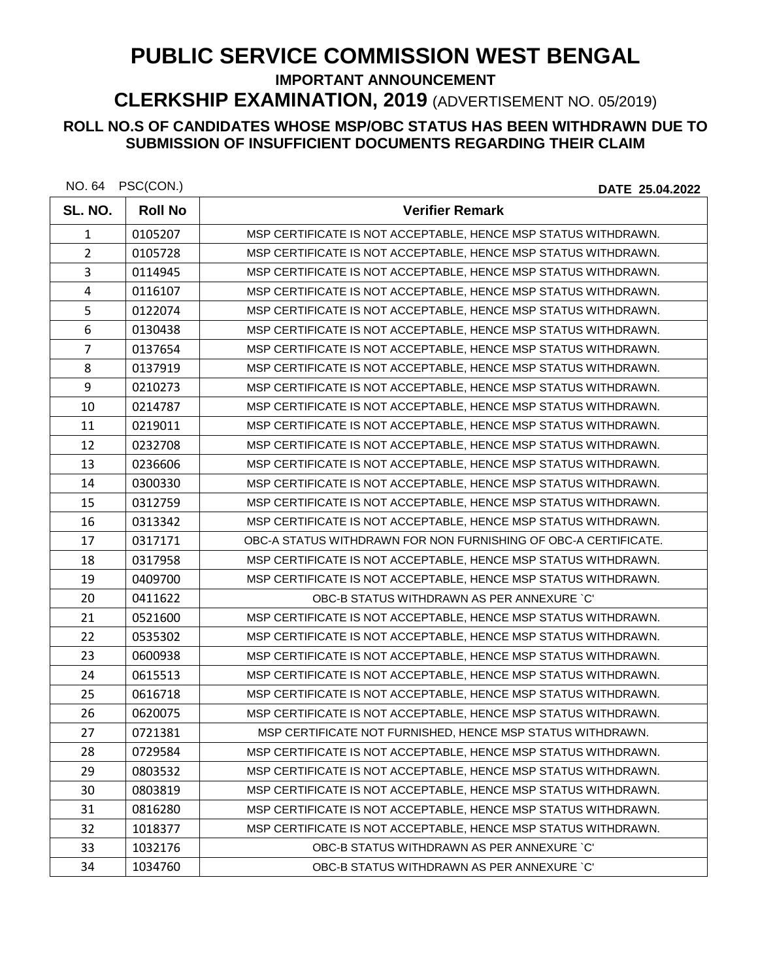## **PUBLIC SERVICE COMMISSION WEST BENGAL**

**IMPORTANT ANNOUNCEMENT** 

**CLERKSHIP EXAMINATION, 2019** (ADVERTISEMENT NO. 05/2019)

## **ROLL NO.S OF CANDIDATES WHOSE MSP/OBC STATUS HAS BEEN WITHDRAWN DUE TO SUBMISSION OF INSUFFICIENT DOCUMENTS REGARDING THEIR CLAIM**

| NO. 64 | PSC(CON.) |
|--------|-----------|
|--------|-----------|

DATE 25.04.2022

| SL. NO.        | <b>Roll No</b> | <b>Verifier Remark</b>                                          |
|----------------|----------------|-----------------------------------------------------------------|
| $\mathbf{1}$   | 0105207        | MSP CERTIFICATE IS NOT ACCEPTABLE, HENCE MSP STATUS WITHDRAWN.  |
| $\overline{2}$ | 0105728        | MSP CERTIFICATE IS NOT ACCEPTABLE, HENCE MSP STATUS WITHDRAWN.  |
| 3              | 0114945        | MSP CERTIFICATE IS NOT ACCEPTABLE, HENCE MSP STATUS WITHDRAWN.  |
| 4              | 0116107        | MSP CERTIFICATE IS NOT ACCEPTABLE, HENCE MSP STATUS WITHDRAWN.  |
| 5              | 0122074        | MSP CERTIFICATE IS NOT ACCEPTABLE, HENCE MSP STATUS WITHDRAWN.  |
| 6              | 0130438        | MSP CERTIFICATE IS NOT ACCEPTABLE, HENCE MSP STATUS WITHDRAWN.  |
| $\overline{7}$ | 0137654        | MSP CERTIFICATE IS NOT ACCEPTABLE, HENCE MSP STATUS WITHDRAWN.  |
| 8              | 0137919        | MSP CERTIFICATE IS NOT ACCEPTABLE, HENCE MSP STATUS WITHDRAWN.  |
| 9              | 0210273        | MSP CERTIFICATE IS NOT ACCEPTABLE, HENCE MSP STATUS WITHDRAWN.  |
| 10             | 0214787        | MSP CERTIFICATE IS NOT ACCEPTABLE, HENCE MSP STATUS WITHDRAWN.  |
| 11             | 0219011        | MSP CERTIFICATE IS NOT ACCEPTABLE, HENCE MSP STATUS WITHDRAWN.  |
| 12             | 0232708        | MSP CERTIFICATE IS NOT ACCEPTABLE, HENCE MSP STATUS WITHDRAWN.  |
| 13             | 0236606        | MSP CERTIFICATE IS NOT ACCEPTABLE, HENCE MSP STATUS WITHDRAWN.  |
| 14             | 0300330        | MSP CERTIFICATE IS NOT ACCEPTABLE, HENCE MSP STATUS WITHDRAWN.  |
| 15             | 0312759        | MSP CERTIFICATE IS NOT ACCEPTABLE, HENCE MSP STATUS WITHDRAWN.  |
| 16             | 0313342        | MSP CERTIFICATE IS NOT ACCEPTABLE, HENCE MSP STATUS WITHDRAWN.  |
| 17             | 0317171        | OBC-A STATUS WITHDRAWN FOR NON FURNISHING OF OBC-A CERTIFICATE. |
| 18             | 0317958        | MSP CERTIFICATE IS NOT ACCEPTABLE, HENCE MSP STATUS WITHDRAWN.  |
| 19             | 0409700        | MSP CERTIFICATE IS NOT ACCEPTABLE, HENCE MSP STATUS WITHDRAWN.  |
| 20             | 0411622        | OBC-B STATUS WITHDRAWN AS PER ANNEXURE `C'                      |
| 21             | 0521600        | MSP CERTIFICATE IS NOT ACCEPTABLE, HENCE MSP STATUS WITHDRAWN.  |
| 22             | 0535302        | MSP CERTIFICATE IS NOT ACCEPTABLE, HENCE MSP STATUS WITHDRAWN.  |
| 23             | 0600938        | MSP CERTIFICATE IS NOT ACCEPTABLE, HENCE MSP STATUS WITHDRAWN.  |
| 24             | 0615513        | MSP CERTIFICATE IS NOT ACCEPTABLE, HENCE MSP STATUS WITHDRAWN.  |
| 25             | 0616718        | MSP CERTIFICATE IS NOT ACCEPTABLE, HENCE MSP STATUS WITHDRAWN.  |
| 26             | 0620075        | MSP CERTIFICATE IS NOT ACCEPTABLE, HENCE MSP STATUS WITHDRAWN.  |
| 27             | 0721381        | MSP CERTIFICATE NOT FURNISHED, HENCE MSP STATUS WITHDRAWN.      |
| 28             | 0729584        | MSP CERTIFICATE IS NOT ACCEPTABLE, HENCE MSP STATUS WITHDRAWN.  |
| 29             | 0803532        | MSP CERTIFICATE IS NOT ACCEPTABLE, HENCE MSP STATUS WITHDRAWN.  |
| 30             | 0803819        | MSP CERTIFICATE IS NOT ACCEPTABLE, HENCE MSP STATUS WITHDRAWN.  |
| 31             | 0816280        | MSP CERTIFICATE IS NOT ACCEPTABLE, HENCE MSP STATUS WITHDRAWN.  |
| 32             | 1018377        | MSP CERTIFICATE IS NOT ACCEPTABLE, HENCE MSP STATUS WITHDRAWN.  |
| 33             | 1032176        | OBC-B STATUS WITHDRAWN AS PER ANNEXURE `C'                      |
| 34             | 1034760        | OBC-B STATUS WITHDRAWN AS PER ANNEXURE `C'                      |